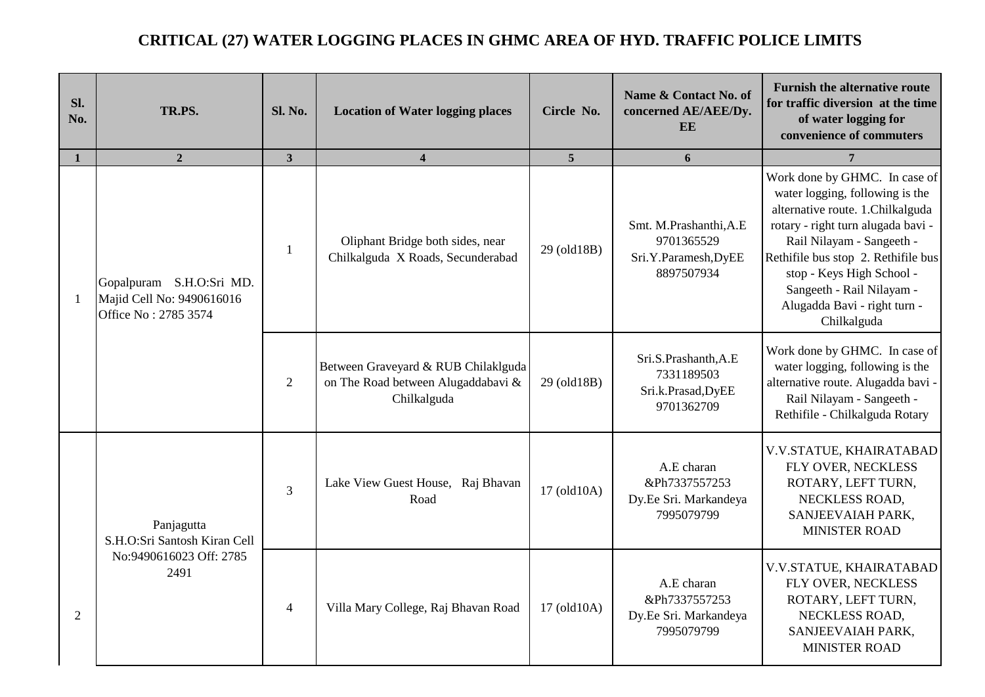## **CRITICAL (27) WATER LOGGING PLACES IN GHMC AREA OF HYD. TRAFFIC POLICE LIMITS**

| Sl.<br>No. | TR.PS.                                                                        | <b>Sl. No.</b> | <b>Location of Water logging places</b>                                                  | Circle No.     | Name & Contact No. of<br>concerned AE/AEE/Dy.<br>EE                        | <b>Furnish the alternative route</b><br>for traffic diversion at the time<br>of water logging for<br>convenience of commuters                                                                                                                                                                                           |
|------------|-------------------------------------------------------------------------------|----------------|------------------------------------------------------------------------------------------|----------------|----------------------------------------------------------------------------|-------------------------------------------------------------------------------------------------------------------------------------------------------------------------------------------------------------------------------------------------------------------------------------------------------------------------|
| 1          | 2 <sup>1</sup>                                                                | 3 <sup>1</sup> | $\overline{\mathbf{4}}$                                                                  | 5 <sup>5</sup> | 6                                                                          | $\overline{7}$                                                                                                                                                                                                                                                                                                          |
| -1         | Gopalpuram S.H.O:Sri MD.<br>Majid Cell No: 9490616016<br>Office No: 2785 3574 | -1             | Oliphant Bridge both sides, near<br>Chilkalguda X Roads, Secunderabad                    | 29 (old18B)    | Smt. M.Prashanthi, A.E<br>9701365529<br>Sri.Y.Paramesh, DyEE<br>8897507934 | Work done by GHMC. In case of<br>water logging, following is the<br>alternative route. 1.Chilkalguda<br>rotary - right turn alugada bavi -<br>Rail Nilayam - Sangeeth -<br>Rethifile bus stop 2. Rethifile bus<br>stop - Keys High School -<br>Sangeeth - Rail Nilayam -<br>Alugadda Bavi - right turn -<br>Chilkalguda |
|            |                                                                               | $\mathfrak{2}$ | Between Graveyard & RUB Chilaklguda<br>on The Road between Alugaddabavi &<br>Chilkalguda | 29 (old18B)    | Sri.S.Prashanth, A.E<br>7331189503<br>Sri.k.Prasad,DyEE<br>9701362709      | Work done by GHMC. In case of<br>water logging, following is the<br>alternative route. Alugadda bavi -<br>Rail Nilayam - Sangeeth -<br>Rethifile - Chilkalguda Rotary                                                                                                                                                   |
|            | Panjagutta<br>S.H.O:Sri Santosh Kiran Cell<br>No:9490616023 Off: 2785<br>2491 | $\overline{3}$ | Lake View Guest House, Raj Bhavan<br>Road                                                | 17 (old10A)    | A.E charan<br>&Ph7337557253<br>Dy.Ee Sri. Markandeya<br>7995079799         | V.V.STATUE, KHAIRATABAD<br>FLY OVER, NECKLESS<br>ROTARY, LEFT TURN,<br>NECKLESS ROAD,<br>SANJEEVAIAH PARK,<br>MINISTER ROAD                                                                                                                                                                                             |
| 2          |                                                                               | $\overline{4}$ | Villa Mary College, Raj Bhavan Road                                                      | 17 (old10A)    | A.E charan<br>&Ph7337557253<br>Dy.Ee Sri. Markandeya<br>7995079799         | V.V.STATUE, KHAIRATABAD<br>FLY OVER, NECKLESS<br>ROTARY, LEFT TURN,<br>NECKLESS ROAD,<br>SANJEEVAIAH PARK,<br>MINISTER ROAD                                                                                                                                                                                             |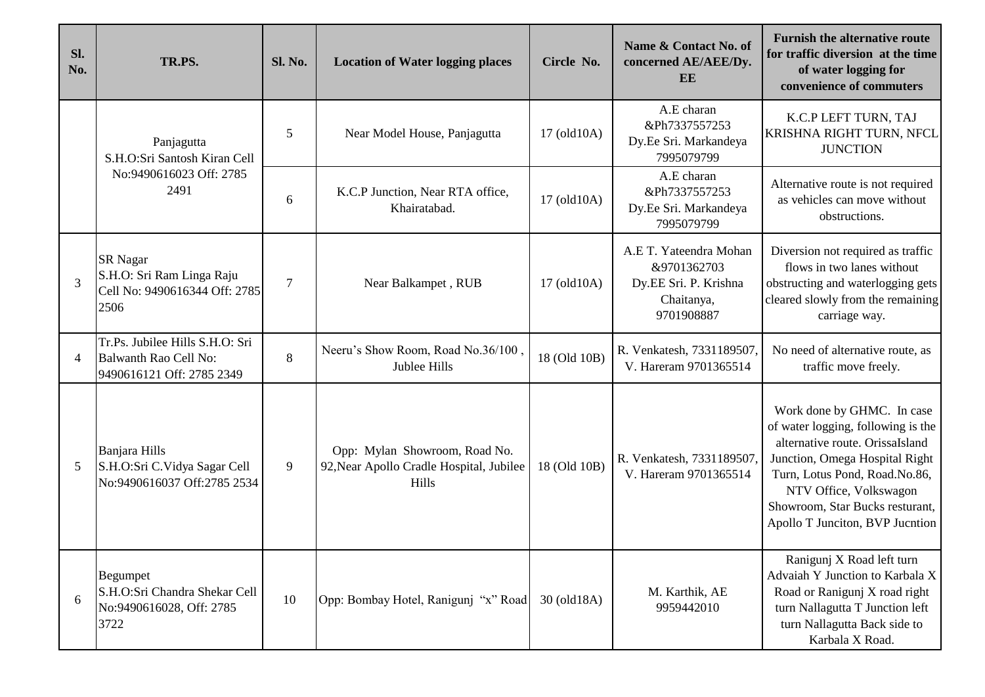| Sl.<br>No.     | TR.PS.                                                                                | Sl. No. | <b>Location of Water logging places</b>                                                   | Circle No.   | Name & Contact No. of<br>concerned AE/AEE/Dy.<br>EE                                        | <b>Furnish the alternative route</b><br>for traffic diversion at the time<br>of water logging for<br>convenience of commuters                                                                                                                                          |
|----------------|---------------------------------------------------------------------------------------|---------|-------------------------------------------------------------------------------------------|--------------|--------------------------------------------------------------------------------------------|------------------------------------------------------------------------------------------------------------------------------------------------------------------------------------------------------------------------------------------------------------------------|
|                | Panjagutta<br>S.H.O:Sri Santosh Kiran Cell<br>No:9490616023 Off: 2785<br>2491         | 5       | Near Model House, Panjagutta                                                              | 17 (old10A)  | A.E charan<br>&Ph7337557253<br>Dy.Ee Sri. Markandeya<br>7995079799                         | K.C.P LEFT TURN, TAJ<br>KRISHNA RIGHT TURN, NFCL<br><b>JUNCTION</b>                                                                                                                                                                                                    |
|                |                                                                                       | 6       | K.C.P Junction, Near RTA office,<br>Khairatabad.                                          | 17 (old10A)  | A.E charan<br>&Ph7337557253<br>Dy.Ee Sri. Markandeya<br>7995079799                         | Alternative route is not required<br>as vehicles can move without<br>obstructions.                                                                                                                                                                                     |
| 3              | <b>SR</b> Nagar<br>S.H.O: Sri Ram Linga Raju<br>Cell No: 9490616344 Off: 2785<br>2506 | $\tau$  | Near Balkampet, RUB                                                                       | 17 (old 10A) | A.E T. Yateendra Mohan<br>&9701362703<br>Dy.EE Sri. P. Krishna<br>Chaitanya,<br>9701908887 | Diversion not required as traffic<br>flows in two lanes without<br>obstructing and waterlogging gets<br>cleared slowly from the remaining<br>carriage way.                                                                                                             |
| $\overline{4}$ | Tr.Ps. Jubilee Hills S.H.O: Sri<br>Balwanth Rao Cell No:<br>9490616121 Off: 2785 2349 | 8       | Neeru's Show Room, Road No.36/100,<br>Jublee Hills                                        | 18 (Old 10B) | R. Venkatesh, 7331189507.<br>V. Hareram 9701365514                                         | No need of alternative route, as<br>traffic move freely.                                                                                                                                                                                                               |
|                | Banjara Hills<br>S.H.O:Sri C.Vidya Sagar Cell<br>No:9490616037 Off:2785 2534          | 9       | Opp: Mylan Showroom, Road No.<br>92, Near Apollo Cradle Hospital, Jubilee<br><b>Hills</b> | 18 (Old 10B) | R. Venkatesh, 7331189507.<br>V. Hareram 9701365514                                         | Work done by GHMC. In case<br>of water logging, following is the<br>alternative route. OrissaIsland<br>Junction, Omega Hospital Right<br>Turn, Lotus Pond, Road.No.86,<br>NTV Office, Volkswagon<br>Showroom, Star Bucks resturant,<br>Apollo T Junciton, BVP Jucntion |
| 6              | <b>Begumpet</b><br>S.H.O:Sri Chandra Shekar Cell<br>No:9490616028, Off: 2785<br>3722  | 10      | Opp: Bombay Hotel, Ranigunj "x" Road                                                      | 30 (old18A)  | M. Karthik, AE<br>9959442010                                                               | Ranigunj X Road left turn<br>Advaiah Y Junction to Karbala X<br>Road or Ranigunj X road right<br>turn Nallagutta T Junction left<br>turn Nallagutta Back side to<br>Karbala X Road.                                                                                    |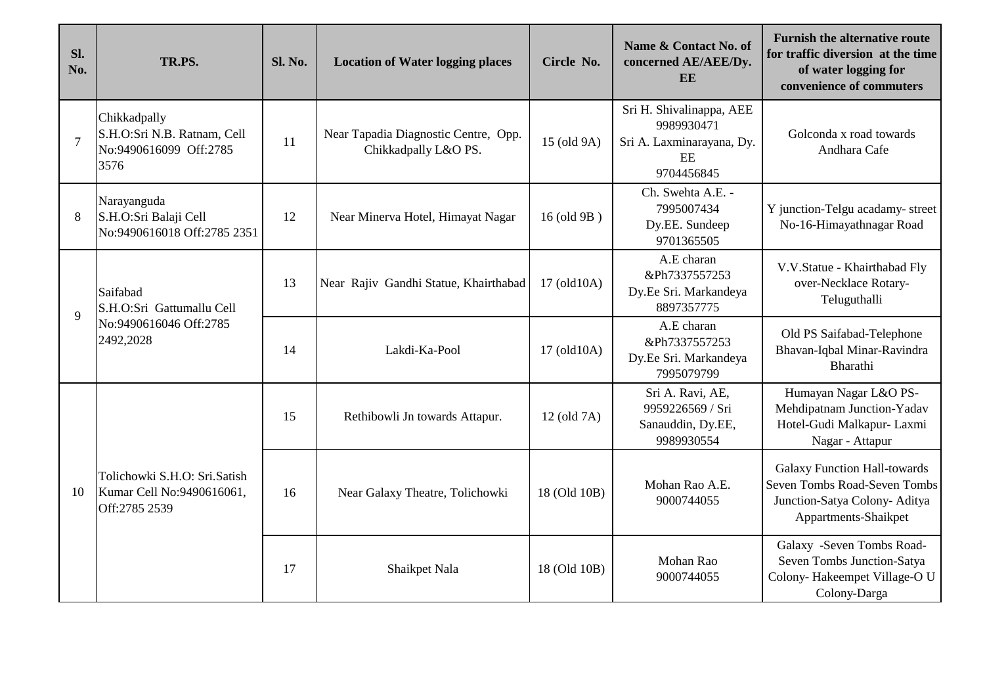| SI.<br>No.     | TR.PS.                                                                        | Sl. No. | <b>Location of Water logging places</b>                      | Circle No.   | Name & Contact No. of<br>concerned AE/AEE/Dy.<br><b>EE</b>                              | <b>Furnish the alternative route</b><br>for traffic diversion at the time<br>of water logging for<br>convenience of commuters |
|----------------|-------------------------------------------------------------------------------|---------|--------------------------------------------------------------|--------------|-----------------------------------------------------------------------------------------|-------------------------------------------------------------------------------------------------------------------------------|
| $\overline{7}$ | Chikkadpally<br>S.H.O:Sri N.B. Ratnam, Cell<br>No:9490616099 Off:2785<br>3576 | 11      | Near Tapadia Diagnostic Centre, Opp.<br>Chikkadpally L&O PS. | 15 (old 9A)  | Sri H. Shivalinappa, AEE<br>9989930471<br>Sri A. Laxminarayana, Dy.<br>EE<br>9704456845 | Golconda x road towards<br>Andhara Cafe                                                                                       |
| 8              | Narayanguda<br>S.H.O:Sri Balaji Cell<br>No:9490616018 Off:2785 2351           | 12      | Near Minerva Hotel, Himayat Nagar                            | 16 (old 9B)  | Ch. Swehta A.E. -<br>7995007434<br>Dy.EE. Sundeep<br>9701365505                         | Y junction-Telgu acadamy- street<br>No-16-Himayathnagar Road                                                                  |
| $\mathbf{Q}$   | Saifabad<br>S.H.O:Sri Gattumallu Cell<br>No:9490616046 Off:2785<br>2492,2028  | 13      | Near Rajiv Gandhi Statue, Khairthabad                        | 17 (old10A)  | A.E charan<br>&Ph7337557253<br>Dy.Ee Sri. Markandeya<br>8897357775                      | V.V.Statue - Khairthabad Fly<br>over-Necklace Rotary-<br>Teluguthalli                                                         |
|                |                                                                               | 14      | Lakdi-Ka-Pool                                                | 17 (old10A)  | A.E charan<br>&Ph7337557253<br>Dy.Ee Sri. Markandeya<br>7995079799                      | Old PS Saifabad-Telephone<br>Bhavan-Iqbal Minar-Ravindra<br>Bharathi                                                          |
| 10             | Tolichowki S.H.O: Sri.Satish<br>Kumar Cell No:9490616061,<br>Off:2785 2539    | 15      | Rethibowli Jn towards Attapur.                               | 12 (old 7A)  | Sri A. Ravi, AE,<br>9959226569 / Sri<br>Sanauddin, Dy.EE,<br>9989930554                 | Humayan Nagar L&O PS-<br>Mehdipatnam Junction-Yadav<br>Hotel-Gudi Malkapur- Laxmi<br>Nagar - Attapur                          |
|                |                                                                               | 16      | Near Galaxy Theatre, Tolichowki                              | 18 (Old 10B) | Mohan Rao A.E.<br>9000744055                                                            | <b>Galaxy Function Hall-towards</b><br>Seven Tombs Road-Seven Tombs<br>Junction-Satya Colony- Aditya<br>Appartments-Shaikpet  |
|                |                                                                               | 17      | Shaikpet Nala                                                | 18 (Old 10B) | Mohan Rao<br>9000744055                                                                 | Galaxy -Seven Tombs Road-<br>Seven Tombs Junction-Satya<br>Colony-Hakeempet Village-O U<br>Colony-Darga                       |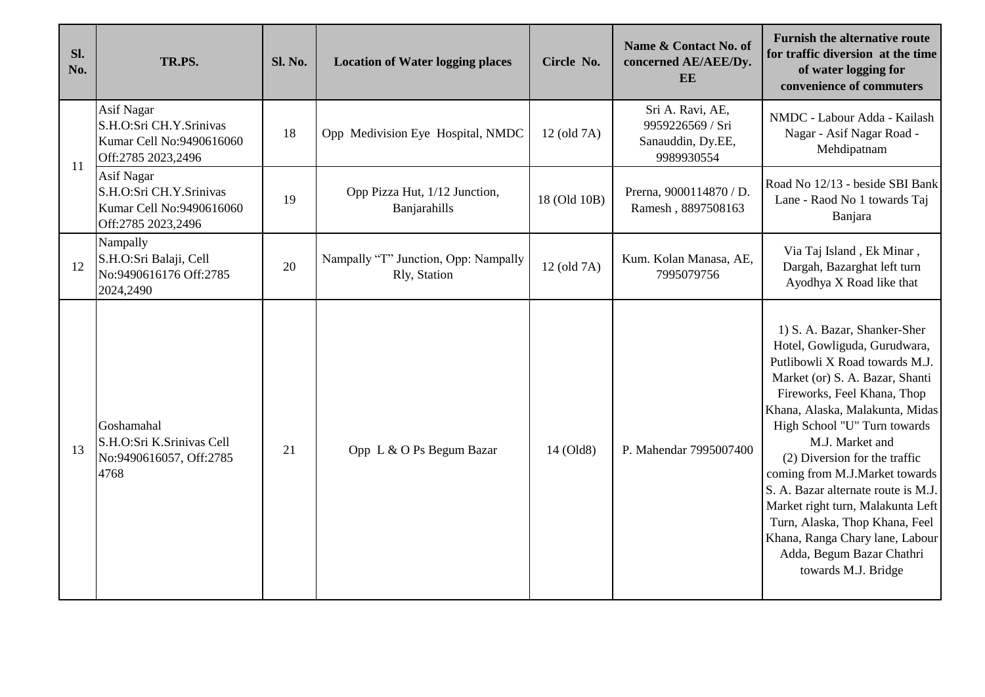| Sl.<br>No. | TR.PS.                                                                                         | Sl. No. | <b>Location of Water logging places</b>              | Circle No.   | Name & Contact No. of<br>concerned AE/AEE/Dy.<br><b>EE</b>              | <b>Furnish the alternative route</b><br>for traffic diversion at the time<br>of water logging for<br>convenience of commuters                                                                                                                                                                                                                                                                                                                                                                                                  |
|------------|------------------------------------------------------------------------------------------------|---------|------------------------------------------------------|--------------|-------------------------------------------------------------------------|--------------------------------------------------------------------------------------------------------------------------------------------------------------------------------------------------------------------------------------------------------------------------------------------------------------------------------------------------------------------------------------------------------------------------------------------------------------------------------------------------------------------------------|
| 11         | Asif Nagar<br>S.H.O:Sri CH.Y.Srinivas<br>Kumar Cell No:9490616060<br>Off:2785 2023,2496        | 18      | Opp Medivision Eye Hospital, NMDC                    | 12 (old 7A)  | Sri A. Ravi, AE,<br>9959226569 / Sri<br>Sanauddin, Dy.EE,<br>9989930554 | NMDC - Labour Adda - Kailash<br>Nagar - Asif Nagar Road -<br>Mehdipatnam                                                                                                                                                                                                                                                                                                                                                                                                                                                       |
|            | <b>Asif Nagar</b><br>S.H.O:Sri CH.Y.Srinivas<br>Kumar Cell No:9490616060<br>Off:2785 2023,2496 | 19      | Opp Pizza Hut, 1/12 Junction,<br>Banjarahills        | 18 (Old 10B) | Prerna, 9000114870 / D.<br>Ramesh, 8897508163                           | Road No 12/13 - beside SBI Bank<br>Lane - Raod No 1 towards Taj<br>Banjara                                                                                                                                                                                                                                                                                                                                                                                                                                                     |
| 12         | Nampally<br>S.H.O:Sri Balaji, Cell<br>No:9490616176 Off:2785<br>2024,2490                      | 20      | Nampally "T" Junction, Opp: Nampally<br>Rly, Station | 12 (old 7A)  | Kum. Kolan Manasa, AE,<br>7995079756                                    | Via Taj Island, Ek Minar,<br>Dargah, Bazarghat left turn<br>Ayodhya X Road like that                                                                                                                                                                                                                                                                                                                                                                                                                                           |
| 13         | Goshamahal<br>S.H.O:Sri K.Srinivas Cell<br>No:9490616057, Off:2785<br>4768                     | 21      | Opp L & O Ps Begum Bazar                             | 14 (Old8)    | P. Mahendar 7995007400                                                  | 1) S. A. Bazar, Shanker-Sher<br>Hotel, Gowliguda, Gurudwara,<br>Putlibowli X Road towards M.J.<br>Market (or) S. A. Bazar, Shanti<br>Fireworks, Feel Khana, Thop<br>Khana, Alaska, Malakunta, Midas<br>High School "U" Turn towards<br>M.J. Market and<br>(2) Diversion for the traffic<br>coming from M.J.Market towards<br>S. A. Bazar alternate route is M.J.<br>Market right turn, Malakunta Left<br>Turn, Alaska, Thop Khana, Feel<br>Khana, Ranga Chary lane, Labour<br>Adda, Begum Bazar Chathri<br>towards M.J. Bridge |